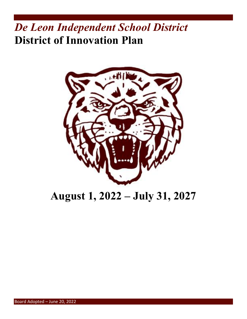# *De Leon Independent School District* **District of Innovation Plan**



# **August 1, 2022 – July 31, 2027**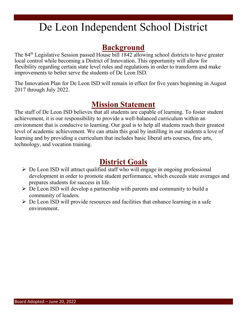# De Leon Independent School District

## **Background**

The 84th Legislative Session passed House bill 1842 allowing school districts to have greater local control while becoming a District of Innovation. This opportunity will allow for flexibility regarding certain state level rules and regulations in order to transform and make improvements to better serve the students of De Leon ISD.

The Innovation Plan for De Leon ISD will remain in effect for five years beginning in August 2017 through July 2022.

# **Mission Statement**

The staff of De Leon ISD believes that all students are capable of learning. To foster student achievement, it is our responsibility to provide a well-balanced curriculum within an environment that is conducive to learning. Our goal is to help all students reach their greatest level of academic achievement. We can attain this goal by instilling in our students a love of learning and by providing a curriculum that includes basic liberal arts courses, fine arts, technology, and vocation training.

# **District Goals**

- $\triangleright$  De Leon ISD will attract qualified staff who will engage in ongoing professional development in order to promote student performance, which exceeds state averages and prepares students for success in life.
- $\triangleright$  De Leon ISD will develop a partnership with parents and community to build a community of leaders.
- $\triangleright$  De Leon ISD will provide resources and facilities that enhance learning in a safe environment.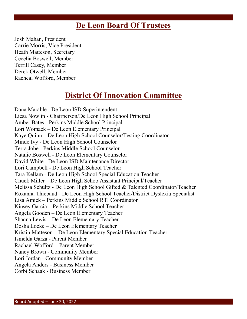## **De Leon Board Of Trustees**

Josh Mahan, President Carrie Morris, Vice President Heath Matteson, Secretary Cecelia Boswell, Member Terrill Casey, Member Derek Otwell, Member Racheal Wofford, Member

# **District Of Innovation Committee**

Dana Marable - De Leon ISD Superintendent Liesa Nowlin - Chairperson/De Leon High School Principal Amber Bates - Perkins Middle School Principal Lori Womack – De Leon Elementary Principal Kaye Quinn – De Leon High School Counselor/Testing Coordinator Minde Ivy - De Leon High School Counselor Terra Jobe - Perkins Middle School Counselor Natalie Boswell - De Leon Elementary Counselor David White - De Leon ISD Maintenance Director Lori Campbell - De Leon High School Teacher Tara Kellam - De Leon High School Special Education Teacher Chuck Miller – De Leon High Schoo Assistant Principal/Teacher Melissa Schultz - De Leon High School Gifted & Talented Coordinator/Teacher Roxanna Thiebaud - De Leon High School Teacher/District Dyslexia Specialist Lisa Amick – Perkins Middle School RTI Coordinator Kinsey Garcia – Perkins Middle School Teacher Angela Gooden – De Leon Elementary Teacher Shanna Lewis – De Leon Elementary Teacher Dosha Locke – De Leon Elementary Teacher Kristin Matteson – De Leon Elementary Special Education Teacher Ismelda Garza - Parent Member Rachael Wofford – Parent Member Nancy Brown - Community Member Lori Jordan - Community Member Angela Anders - Business Member Corbi Schaak - Business Member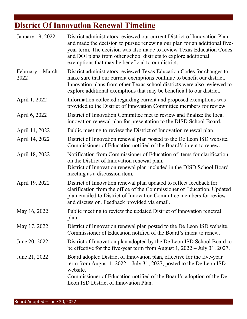# **District Of Innovation Renewal Timeline**

| January 19, 2022         | District administrators reviewed our current District of Innovation Plan<br>and made the decision to pursue renewing our plan for an additional five-<br>year term. The decision was also made to review Texas Education Codes<br>and DOI plans from other school districts to explore additional<br>exemptions that may be beneficial to our district. |
|--------------------------|---------------------------------------------------------------------------------------------------------------------------------------------------------------------------------------------------------------------------------------------------------------------------------------------------------------------------------------------------------|
| February – March<br>2022 | District administrators reviewed Texas Education Codes for changes to<br>make sure that our current exemptions continue to benefit our district.<br>Innovation plans from other Texas school districts were also reviewed to<br>explore additional exemptions that may be beneficial to our district.                                                   |
| April 1, 2022            | Information collected regarding current and proposed exemptions was<br>provided to the District of Innovation Committee members for review.                                                                                                                                                                                                             |
| April 6, 2022            | District of Innovation Committee met to review and finalize the local<br>innovation renewal plan for presentation to the DISD School Board.                                                                                                                                                                                                             |
| April 11, 2022           | Public meeting to review the District of Innovation renewal plan.                                                                                                                                                                                                                                                                                       |
| April 14, 2022           | District of Innovation renewal plan posted to the De Leon ISD website.<br>Commissioner of Education notified of the Board's intent to renew.                                                                                                                                                                                                            |
| April 18, 2022           | Notification from Commissioner of Education of items for clarification<br>on the District of Innovation renewal plan.<br>District of Innovation renewal plan included in the DISD School Board<br>meeting as a discussion item.                                                                                                                         |
| April 19, 2022           | District of Innovation renewal plan updated to reflect feedback for<br>clarification from the office of the Commissioner of Education. Updated<br>plan emailed to District of Innovation Committee members for review<br>and discussion. Feedback provided via email.                                                                                   |
| May 16, 2022             | Public meeting to review the updated District of Innovation renewal<br>plan.                                                                                                                                                                                                                                                                            |
| May 17, 2022             | District of Innovation renewal plan posted to the De Leon ISD website.<br>Commissioner of Education notified of the Board's intent to renew.                                                                                                                                                                                                            |
| June 20, 2022            | District of Innovation plan adopted by the De Leon ISD School Board to<br>be effective for the five-year term from August $1,2022 - \text{July } 31,2027$ .                                                                                                                                                                                             |
| June 21, 2022            | Board adopted District of Innovation plan, effective for the five-year<br>term from August $1, 2022 - July 31, 2027$ , posted to the De Leon ISD<br>website.<br>Commissioner of Education notified of the Board's adoption of the De<br>Leon ISD District of Innovation Plan.                                                                           |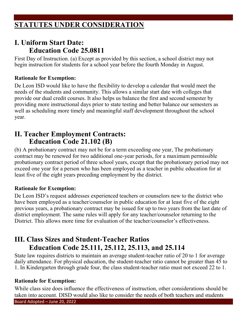## **STATUTES UNDER CONSIDERATION**

### **I. Uniform Start Date: Education Code 25.0811**

First Day of Instruction. (a) Except as provided by this section, a school district may not begin instruction for students for a school year before the fourth Monday in August.

#### **Rationale for Exemption:**

De Leon ISD would like to have the flexibility to develop a calendar that would meet the needs of the students and community. This allows a similar start date with colleges that provide our dual credit courses. It also helps us balance the first and second semester by providing more instructional days prior to state testing and better balance our semesters as well as scheduling more timely and meaningful staff development throughout the school year.

### **II. Teacher Employment Contracts: Education Code 21.102 (B)**

(b) A probationary contract may not be for a term exceeding one year, The probationary contract may be renewed for two additional one-year periods, for a maximum permissible probationary contract period of three school years, except that the probationary period may not exceed one year for a person who has been employed as a teacher in public education for at least five of the eight years preceding employment by the district.

#### **Rationale for Exemption:**

De Leon ISD's request addresses experienced teachers or counselors new to the district who have been employed as a teacher/counselor in public education for at least five of the eight previous years, a probationary contract may be issued for up to two years from the last date of district employment. The same rules will apply for any teacher/counselor returning to the District. This allows more time for evaluation of the teacher/counselor's effectiveness.

## **III. Class Sizes and Student-Teacher Ratios Education Code 25.111, 25.112, 25.113, and 25.114**

State law requires districts to maintain an average student-teacher ratio of 20 to 1 for average daily attendance. For physical education, the student-teacher ratio cannot be greater than 45 to 1. In Kindergarten through grade four, the class student-teacher ratio must not exceed 22 to 1.

#### **Rationale for Exemption:**

Board Adopted – June 20, 2022 While class size does influence the effectiveness of instruction, other considerations should be taken into account. DISD would also like to consider the needs of both teachers and students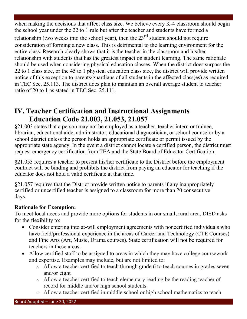when making the decisions that affect class size. We believe every K-4 classroom should begin the school year under the 22 to 1 rule but after the teacher and students have formed a relationship (two weeks into the school year), then the  $23<sup>rd</sup>$  student should not require consideration of forming a new class. This is detrimental to the learning environment for the entire class. Research clearly shows that it is the teacher in the classroom and his/her relationship with students that has the greatest impact on student learning. The same rationale should be used when considering physical education classes. When the district does surpass the 22 to 1 class size, or the 45 to 1 physical education class size, the district will provide written notice of this exception to parents/guardians of all students in the affected class(es) as required in TEC Sec. 25.113. The district does plan to maintain an overall average student to teacher ratio of 20 to 1 as stated in TEC Sec. 25.111.

## **IV. Teacher Certification and Instructional Assignments Education Code 21.003, 21.053, 21.057**

§21.003 states that a person may not be employed as a teacher, teacher intern or trainee, librarian, educational aide, administrator, educational diagnostician, or school counselor by a school district unless the person holds an appropriate certificate or permit issued by the appropriate state agency. In the event a district cannot locate a certified person, the district must request emergency certification from TEA and the State Board of Educator Certification.

§21.053 requires a teacher to present his/her certificate to the District before the employment contract will be binding and prohibits the district from paying an educator for teaching if the educator does not hold a valid certificate at that time.

§21.057 requires that the District provide written notice to parents if any inappropriately certified or uncertified teacher is assigned to a classroom for more than 20 consecutive days.

#### **Rationale for Exemption:**

To meet local needs and provide more options for students in our small, rural area, DISD asks for the flexibility to:

- Consider entering into at-will employment agreements with noncertified individuals who have field/professional experience in the areas of Career and Technology (CTE Courses) and Fine Arts (Art, Music, Drama courses). State certification will not be required for teachers in these areas.
- Allow certified staff to be assigned to areas in which they may have college coursework and expertise. Examples may include, but are not limited to:
	- o Allow a teacher certified to teach through grade 6 to teach courses in grades seven and/or eight
	- o Allow a teacher certified to teach elementary reading be the reading teacher of record for middle and/or high school students.
	- o Allow a teacher certified in middle school or high school mathematics to teach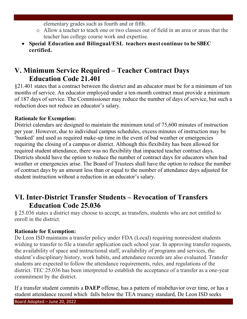elementary grades such as fourth and or fifth.

- o Allow a teacher to teach one or two classes out of field in an area or areas that the teacher has college course work and expertise.
- **Special Education and Bilingual/ESL teachers must continue to be SBEC certified.**

## **V. Minimum Service Required – Teacher Contract Days Education Code 21.401**

§21.401 states that a contract between the district and an educator must be for a minimum of ten months of service. An educator employed under a ten-month contract must provide a minimum of 187 days of service. The Commissioner may reduce the number of days of service, but such a reduction does not reduce an educator's salary.

#### **Rationale for Exemption:**

District calendars are designed to maintain the minimum total of 75,600 minutes of instruction per year. However, due to individual campus schedules, excess minutes of instruction may be 'banked' and used as required make-up time in the event of bad weather or emergencies requiring the closing of a campus or district. Although this flexibility has been allowed for required student attendance, there was no flexibility that impacted teacher contract days. Districts should have the option to reduce the number of contract days for educators when bad weather or emergencies arise. The Board of Trustees shall have the option to reduce the number of contract days by an amount less than or equal to the number of attendance days adjusted for student instruction without a reduction in an educator's salary.

## **VI. Inter-District Transfer Students – Revocation of Transfers Education Code 25.036**

§ 25.036 states a district may choose to accept, as transfers, students who are not entitled to enroll in the district.

#### **Rationale for Exemption:**

De Leon ISD maintains a transfer policy under FDA (Local) requiring nonresident students wishing to transfer to file a transfer application each school year. In approving transfer requests, the availability of space and instructional staff, availability of programs and services, the student's disciplinary history, work habits, and attendance records are also evaluated. Transfer students are expected to follow the attendance requirements, rules, and regulations of the district. TEC 25.036 has been interpreted to establish the acceptance of a transfer as a one-year commitment by the district.

If a transfer student commits a **DAEP** offense, has a pattern of misbehavior over time, or has a student attendance record which falls below the TEA truancy standard, De Leon ISD seeks